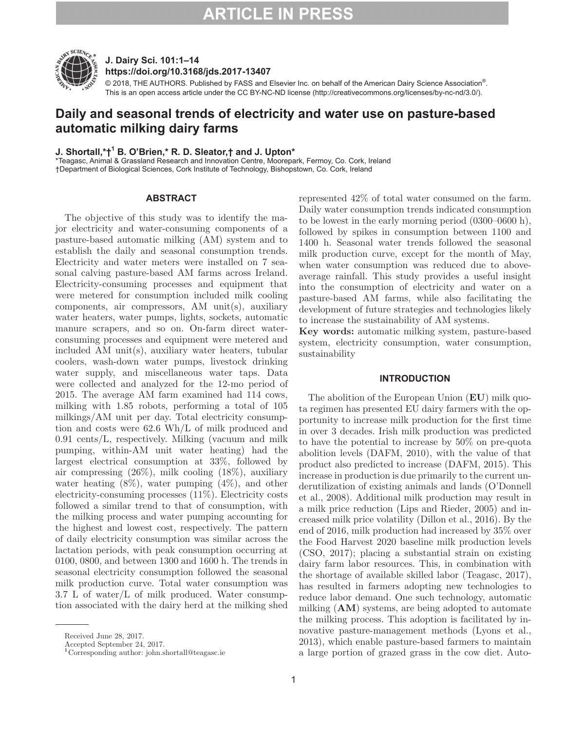

# **J. Dairy Sci. 101:1–14 https://doi.org/10.3168/jds.2017-13407**

© 2018, THE AUTHORS. Published by FASS and Elsevier Inc. on behalf of the American Dairy Science Association®. This is an open access article under the CC BY-NC-ND license (http://creativecommons.org/licenses/by-nc-nd/3.0/).

# **Daily and seasonal trends of electricity and water use on pasture-based automatic milking dairy farms**

# **J. Shortall,\*†1 B. O'Brien,\* R. D. Sleator,† and J. Upton\***

\*Teagasc, Animal & Grassland Research and Innovation Centre, Moorepark, Fermoy, Co. Cork, Ireland †Department of Biological Sciences, Cork Institute of Technology, Bishopstown, Co. Cork, Ireland

## **ABSTRACT**

The objective of this study was to identify the major electricity and water-consuming components of a pasture-based automatic milking (AM) system and to establish the daily and seasonal consumption trends. Electricity and water meters were installed on 7 seasonal calving pasture-based AM farms across Ireland. Electricity-consuming processes and equipment that were metered for consumption included milk cooling components, air compressors, AM unit(s), auxiliary water heaters, water pumps, lights, sockets, automatic manure scrapers, and so on. On-farm direct waterconsuming processes and equipment were metered and included AM unit(s), auxiliary water heaters, tubular coolers, wash-down water pumps, livestock drinking water supply, and miscellaneous water taps. Data were collected and analyzed for the 12-mo period of 2015. The average AM farm examined had 114 cows, milking with 1.85 robots, performing a total of 105 milkings/AM unit per day. Total electricity consumption and costs were 62.6 Wh/L of milk produced and 0.91 cents/L, respectively. Milking (vacuum and milk pumping, within-AM unit water heating) had the largest electrical consumption at 33%, followed by air compressing (26%), milk cooling (18%), auxiliary water heating  $(8\%)$ , water pumping  $(4\%)$ , and other electricity-consuming processes (11%). Electricity costs followed a similar trend to that of consumption, with the milking process and water pumping accounting for the highest and lowest cost, respectively. The pattern of daily electricity consumption was similar across the lactation periods, with peak consumption occurring at 0100, 0800, and between 1300 and 1600 h. The trends in seasonal electricity consumption followed the seasonal milk production curve. Total water consumption was 3.7 L of water/L of milk produced. Water consumption associated with the dairy herd at the milking shed represented 42% of total water consumed on the farm. Daily water consumption trends indicated consumption to be lowest in the early morning period (0300–0600 h), followed by spikes in consumption between 1100 and 1400 h. Seasonal water trends followed the seasonal milk production curve, except for the month of May, when water consumption was reduced due to aboveaverage rainfall. This study provides a useful insight into the consumption of electricity and water on a pasture-based AM farms, while also facilitating the development of future strategies and technologies likely to increase the sustainability of AM systems.

**Key words:** automatic milking system, pasture-based system, electricity consumption, water consumption, sustainability

### **INTRODUCTION**

The abolition of the European Union (**EU**) milk quota regimen has presented EU dairy farmers with the opportunity to increase milk production for the first time in over 3 decades. Irish milk production was predicted to have the potential to increase by 50% on pre-quota abolition levels (DAFM, 2010), with the value of that product also predicted to increase (DAFM, 2015). This increase in production is due primarily to the current underutilization of existing animals and lands (O'Donnell et al., 2008). Additional milk production may result in a milk price reduction (Lips and Rieder, 2005) and increased milk price volatility (Dillon et al., 2016). By the end of 2016, milk production had increased by 35% over the Food Harvest 2020 baseline milk production levels (CSO, 2017); placing a substantial strain on existing dairy farm labor resources. This, in combination with the shortage of available skilled labor (Teagasc, 2017), has resulted in farmers adopting new technologies to reduce labor demand. One such technology, automatic milking (**AM**) systems, are being adopted to automate the milking process. This adoption is facilitated by innovative pasture-management methods (Lyons et al., 2013), which enable pasture-based farmers to maintain a large portion of grazed grass in the cow diet. Auto-

Received June 28, 2017.

Accepted September 24, 2017.

**<sup>1</sup>**Corresponding author: john.shortall@teagasc.ie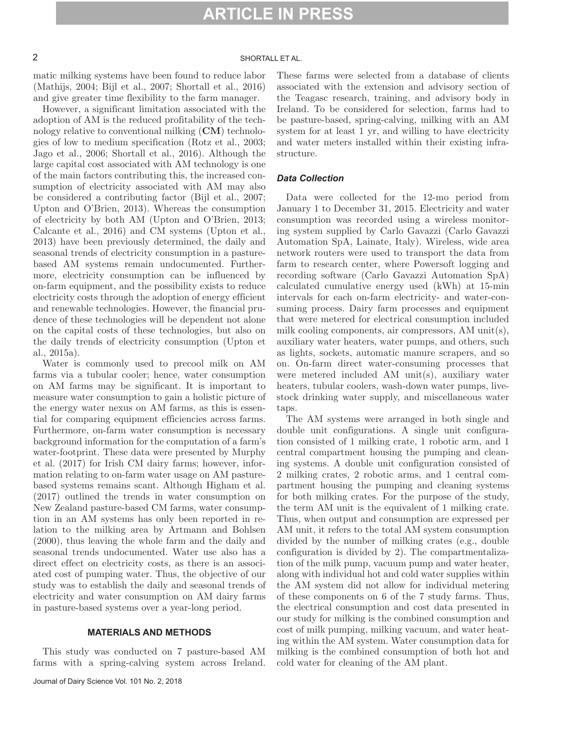# 2 SHORTALL ET AL.

matic milking systems have been found to reduce labor (Mathijs, 2004; Bijl et al., 2007; Shortall et al., 2016) and give greater time flexibility to the farm manager.

However, a significant limitation associated with the adoption of AM is the reduced profitability of the technology relative to conventional milking (**CM**) technologies of low to medium specification (Rotz et al., 2003; Jago et al., 2006; Shortall et al., 2016). Although the large capital cost associated with AM technology is one of the main factors contributing this, the increased consumption of electricity associated with AM may also be considered a contributing factor (Bijl et al., 2007; Upton and O'Brien, 2013). Whereas the consumption of electricity by both AM (Upton and O'Brien, 2013; Calcante et al., 2016) and CM systems (Upton et al., 2013) have been previously determined, the daily and seasonal trends of electricity consumption in a pasturebased AM systems remain undocumented. Furthermore, electricity consumption can be influenced by on-farm equipment, and the possibility exists to reduce electricity costs through the adoption of energy efficient and renewable technologies. However, the financial prudence of these technologies will be dependent not alone on the capital costs of these technologies, but also on the daily trends of electricity consumption (Upton et al., 2015a).

Water is commonly used to precool milk on AM farms via a tubular cooler; hence, water consumption on AM farms may be significant. It is important to measure water consumption to gain a holistic picture of the energy water nexus on AM farms, as this is essential for comparing equipment efficiencies across farms. Furthermore, on-farm water consumption is necessary background information for the computation of a farm's water-footprint. These data were presented by Murphy et al. (2017) for Irish CM dairy farms; however, information relating to on-farm water usage on AM pasturebased systems remains scant. Although Higham et al. (2017) outlined the trends in water consumption on New Zealand pasture-based CM farms, water consumption in an AM systems has only been reported in relation to the milking area by Artmann and Bohlsen (2000), thus leaving the whole farm and the daily and seasonal trends undocumented. Water use also has a direct effect on electricity costs, as there is an associated cost of pumping water. Thus, the objective of our study was to establish the daily and seasonal trends of electricity and water consumption on AM dairy farms in pasture-based systems over a year-long period.

### **MATERIALS AND METHODS**

This study was conducted on 7 pasture-based AM farms with a spring-calving system across Ireland. These farms were selected from a database of clients associated with the extension and advisory section of the Teagasc research, training, and advisory body in Ireland. To be considered for selection, farms had to be pasture-based, spring-calving, milking with an AM system for at least 1 yr, and willing to have electricity and water meters installed within their existing infrastructure.

### *Data Collection*

Data were collected for the 12-mo period from January 1 to December 31, 2015. Electricity and water consumption was recorded using a wireless monitoring system supplied by Carlo Gavazzi (Carlo Gavazzi Automation SpA, Lainate, Italy). Wireless, wide area network routers were used to transport the data from farm to research center, where Powersoft logging and recording software (Carlo Gavazzi Automation SpA) calculated cumulative energy used (kWh) at 15-min intervals for each on-farm electricity- and water-consuming process. Dairy farm processes and equipment that were metered for electrical consumption included milk cooling components, air compressors, AM unit(s), auxiliary water heaters, water pumps, and others, such as lights, sockets, automatic manure scrapers, and so on. On-farm direct water-consuming processes that were metered included AM unit(s), auxiliary water heaters, tubular coolers, wash-down water pumps, livestock drinking water supply, and miscellaneous water taps.

The AM systems were arranged in both single and double unit configurations. A single unit configuration consisted of 1 milking crate, 1 robotic arm, and 1 central compartment housing the pumping and cleaning systems. A double unit configuration consisted of 2 milking crates, 2 robotic arms, and 1 central compartment housing the pumping and cleaning systems for both milking crates. For the purpose of the study, the term AM unit is the equivalent of 1 milking crate. Thus, when output and consumption are expressed per AM unit, it refers to the total AM system consumption divided by the number of milking crates (e.g., double configuration is divided by 2). The compartmentalization of the milk pump, vacuum pump and water heater, along with individual hot and cold water supplies within the AM system did not allow for individual metering of these components on 6 of the 7 study farms. Thus, the electrical consumption and cost data presented in our study for milking is the combined consumption and cost of milk pumping, milking vacuum, and water heating within the AM system. Water consumption data for milking is the combined consumption of both hot and cold water for cleaning of the AM plant.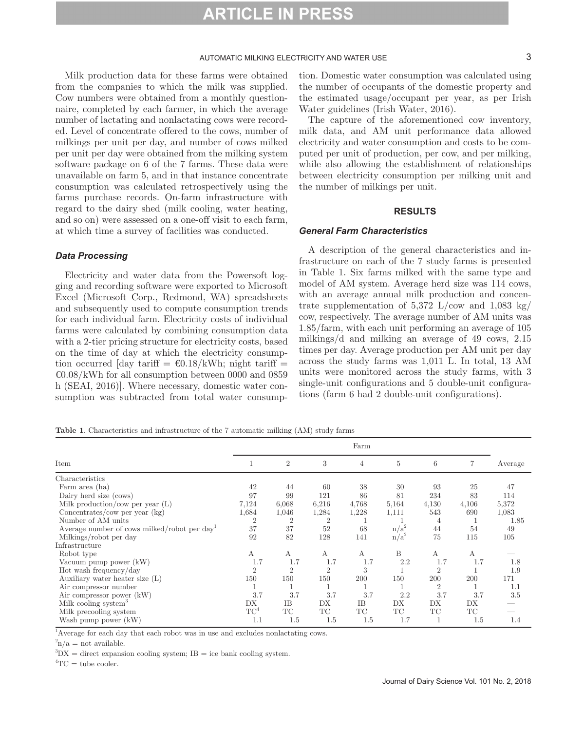### AUTOMATIC MILKING ELECTRICITY AND WATER USE **3** 3

Milk production data for these farms were obtained from the companies to which the milk was supplied. Cow numbers were obtained from a monthly questionnaire, completed by each farmer, in which the average number of lactating and nonlactating cows were recorded. Level of concentrate offered to the cows, number of milkings per unit per day, and number of cows milked per unit per day were obtained from the milking system software package on 6 of the 7 farms. These data were unavailable on farm 5, and in that instance concentrate consumption was calculated retrospectively using the farms purchase records. On-farm infrastructure with regard to the dairy shed (milk cooling, water heating, and so on) were assessed on a one-off visit to each farm, at which time a survey of facilities was conducted.

### *Data Processing*

Electricity and water data from the Powersoft logging and recording software were exported to Microsoft Excel (Microsoft Corp., Redmond, WA) spreadsheets and subsequently used to compute consumption trends for each individual farm. Electricity costs of individual farms were calculated by combining consumption data with a 2-tier pricing structure for electricity costs, based on the time of day at which the electricity consumption occurred [day tariff =  $\epsilon$ 0.18/kWh; night tariff =  $E_0.08$ /kWh for all consumption between 0000 and 0859 h (SEAI, 2016)]. Where necessary, domestic water consumption was subtracted from total water consumption. Domestic water consumption was calculated using the number of occupants of the domestic property and the estimated usage/occupant per year, as per Irish Water guidelines (Irish Water, 2016).

The capture of the aforementioned cow inventory, milk data, and AM unit performance data allowed electricity and water consumption and costs to be computed per unit of production, per cow, and per milking, while also allowing the establishment of relationships between electricity consumption per milking unit and the number of milkings per unit.

### **RESULTS**

### *General Farm Characteristics*

A description of the general characteristics and infrastructure on each of the 7 study farms is presented in Table 1. Six farms milked with the same type and model of AM system. Average herd size was 114 cows, with an average annual milk production and concentrate supplementation of  $5,372$  L/cow and  $1,083$  kg/ cow, respectively. The average number of AM units was 1.85/farm, with each unit performing an average of 105 milkings/d and milking an average of 49 cows, 2.15 times per day. Average production per AM unit per day across the study farms was 1,011 L. In total, 13 AM units were monitored across the study farms, with 3 single-unit configurations and 5 double-unit configurations (farm 6 had 2 double-unit configurations).

|  |  | Table 1. Characteristics and infrastructure of the 7 automatic milking (AM) study farms |  |  |  |  |  |  |
|--|--|-----------------------------------------------------------------------------------------|--|--|--|--|--|--|
|--|--|-----------------------------------------------------------------------------------------|--|--|--|--|--|--|

|                                             | Farm           |                |                |       |         |                |       |         |
|---------------------------------------------|----------------|----------------|----------------|-------|---------|----------------|-------|---------|
| Item                                        |                | $\overline{2}$ | 3              | 4     | 5       | 6              |       | Average |
| Characteristics                             |                |                |                |       |         |                |       |         |
| Farm area (ha)                              | 42             | 44             | 60             | 38    | 30      | 93             | 25    | 47      |
| Dairy herd size (cows)                      | 97             | 99             | 121            | 86    | 81      | 234            | 83    | 114     |
| Milk production/cow per year $(L)$          | 7,124          | 6,068          | 6,216          | 4,768 | 5,164   | 4,130          | 4,106 | 5,372   |
| Concentrates/cow per year (kg)              | 1,684          | 1,046          | 1,284          | 1,228 | 1,111   | 543            | 690   | 1,083   |
| Number of AM units                          | $\overline{2}$ | $\overline{2}$ | $\overline{2}$ |       |         | 4              |       | 1.85    |
| Average number of cows milked/robot per day | 37             | 37             | 52             | 68    | $n/a^2$ | 44             | 54    | 49      |
| Milkings/robot per day                      | 92             | 82             | 128            | 141   | $n/a^2$ | 75             | 115   | 105     |
| Infrastructure                              |                |                |                |       |         |                |       |         |
| Robot type                                  | А              | А              | А              | А     | B       | А              | Α     |         |
| Vacuum pump power (kW)                      | 1.7            | 1.7            | 1.7            | 1.7   | 2.2     | 1.7            | 1.7   | 1.8     |
| Hot wash frequency/day                      | $\overline{2}$ | $\overline{2}$ | $\overline{2}$ | 3     |         | $\overline{2}$ |       | 1.9     |
| Auxiliary water heater size (L)             | 150            | 150            | 150            | 200   | 150     | 200            | 200   | 171     |
| Air compressor number                       |                |                |                |       | T.      | $\overline{2}$ |       | 1.1     |
| Air compressor power (kW)                   | 3.7            | 3.7            | 3.7            | 3.7   | 2.2     | 3.7            | 3.7   | 3.5     |
| Milk cooling system <sup>3</sup>            | DX             | IΒ             | DX             | IΒ    | DX      | <b>DX</b>      | DX    |         |
| Milk precooling system                      | $TC^4$         | TC             | TC             | TC    | TC      | TC             | TC    |         |
| Wash pump power (kW)                        | 1.1            | 1.5            | 1.5            | 1.5   | 1.7     | 1              | 1.5   | 1.4     |

<sup>1</sup>Average for each day that each robot was in use and excludes nonlactating cows.

 $\binom{2}{n}$  = not available.

 ${}^{3}DX =$  direct expansion cooling system; IB = ice bank cooling system.

 ${}^{4}TC =$  tube cooler.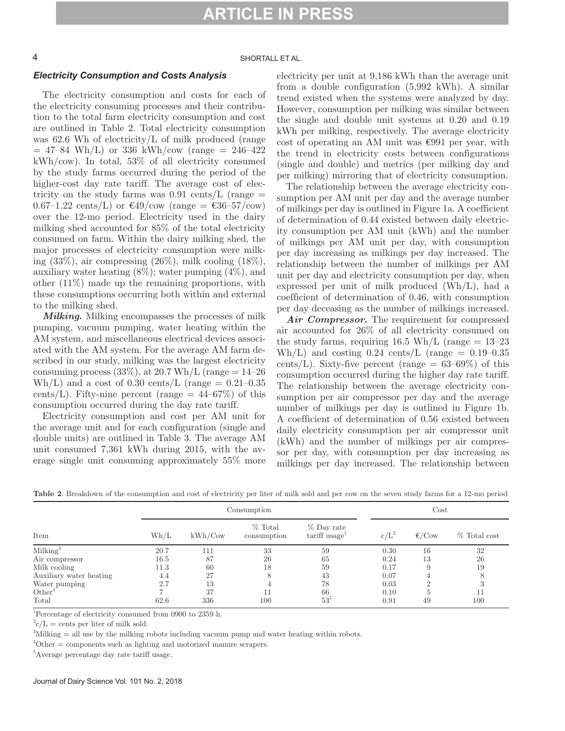## 4 SHORTALL ET AL.

### *Electricity Consumption and Costs Analysis*

The electricity consumption and costs for each of the electricity consuming processes and their contribution to the total farm electricity consumption and cost are outlined in Table 2. Total electricity consumption was 62.6 Wh of electricity/L of milk produced (range  $= 47-84$  Wh/L) or 336 kWh/cow (range  $= 246-422$ kWh/cow). In total, 53% of all electricity consumed by the study farms occurred during the period of the higher-cost day rate tariff. The average cost of electricity on the study farms was  $0.91 \text{ cents/L}$  (range  $=$  $0.67-1.22 \text{ cents}/L$  or  $\text{\textsterling}49/\text{cow (range = \text{\textsterling}36-57/cow)}$ over the 12-mo period. Electricity used in the dairy milking shed accounted for 85% of the total electricity consumed on farm. Within the dairy milking shed, the major processes of electricity consumption were milking (33%), air compressing (26%), milk cooling (18%), auxiliary water heating (8%); water pumping (4%), and other (11%) made up the remaining proportions, with these consumptions occurring both within and external to the milking shed.

*Milking.* Milking encompasses the processes of milk pumping, vacuum pumping, water heating within the AM system, and miscellaneous electrical devices associated with the AM system. For the average AM farm described in our study, milking was the largest electricity consuming process  $(33\%)$ , at 20.7 Wh/L (range  $= 14-26$ ) Wh/L) and a cost of 0.30 cents/L (range  $= 0.21 - 0.35$ cents/L). Fifty-nine percent (range  $= 44-67\%$ ) of this consumption occurred during the day rate tariff.

Electricity consumption and cost per AM unit for the average unit and for each configuration (single and double units) are outlined in Table 3. The average AM unit consumed 7,361 kWh during 2015, with the average single unit consuming approximately 55% more electricity per unit at 9,186 kWh than the average unit from a double configuration (5,992 kWh). A similar trend existed when the systems were analyzed by day. However, consumption per milking was similar between the single and double unit systems at 0.20 and 0.19 kWh per milking, respectively. The average electricity cost of operating an AM unit was €991 per year, with the trend in electricity costs between configurations (single and double) and metrics (per milking day and per milking) mirroring that of electricity consumption.

The relationship between the average electricity consumption per AM unit per day and the average number of milkings per day is outlined in Figure 1a. A coefficient of determination of 0.44 existed between daily electricity consumption per AM unit (kWh) and the number of milkings per AM unit per day, with consumption per day increasing as milkings per day increased. The relationship between the number of milkings per AM unit per day and electricity consumption per day, when expressed per unit of milk produced (Wh/L), had a coefficient of determination of 0.46, with consumption per day deceasing as the number of milkings increased.

*Air Compressor.* The requirement for compressed air accounted for 26% of all electricity consumed on the study farms, requiring  $16.5 \text{ Wh/L}$  (range = 13–23) Wh/L) and costing  $0.24 \text{ cents/L}$  (range  $= 0.19{\text -}0.35$ ) cents/L). Sixty-five percent (range  $= 63{\text -}69\%$ ) of this consumption occurred during the higher day rate tariff. The relationship between the average electricity consumption per air compressor per day and the average number of milkings per day is outlined in Figure 1b. A coefficient of determination of 0.56 existed between daily electricity consumption per air compressor unit (kWh) and the number of milkings per air compressor per day, with consumption per day increasing as milkings per day increased. The relationship between

| Consumption             |      |         |                        |                            | Cost    |                 |              |  |
|-------------------------|------|---------|------------------------|----------------------------|---------|-----------------|--------------|--|
| Item                    | Wh/L | kWh/Cow | % Total<br>consumption | % Day rate<br>tariff usage | $c/L^2$ | $\epsilon$ /Cow | % Total cost |  |
| Milking <sup>3</sup>    | 20.7 | 111     | 33                     | 59                         | 0.30    | 16              | 32           |  |
| Air compressor          | 16.5 | 87      | 26                     | 65                         | 0.24    | 13              | 26           |  |
| Milk cooling            | 11.3 | 60      | 18                     | 59                         | 0.17    | 9               | 19           |  |
| Auxiliary water heating | 4.4  | 27      |                        | 43                         | 0.07    |                 |              |  |
| Water pumping           | 2.7  | 13      |                        | 78                         | 0.03    |                 |              |  |
| $\mathrm{Other}^4$      |      | 37      |                        | 66                         | 0.10    |                 | 11           |  |
| Total                   | 62.6 | 336     | 100                    | $53^{\circ}$               | 0.91    | 49              | 100          |  |

**Table 2**. Breakdown of the consumption and cost of electricity per liter of milk sold and per cow on the seven study farms for a 12-mo period

1 Percentage of electricity consumed from 0900 to 2359 h.

 $^{2}c/L =$  cents per liter of milk sold.

3 Milking = all use by the milking robots including vacuum pump and water heating within robots.

 ${}^{4}$ Other = components such as lighting and motorized manure scrapers.

<sup>5</sup>Average percentage day rate tariff usage.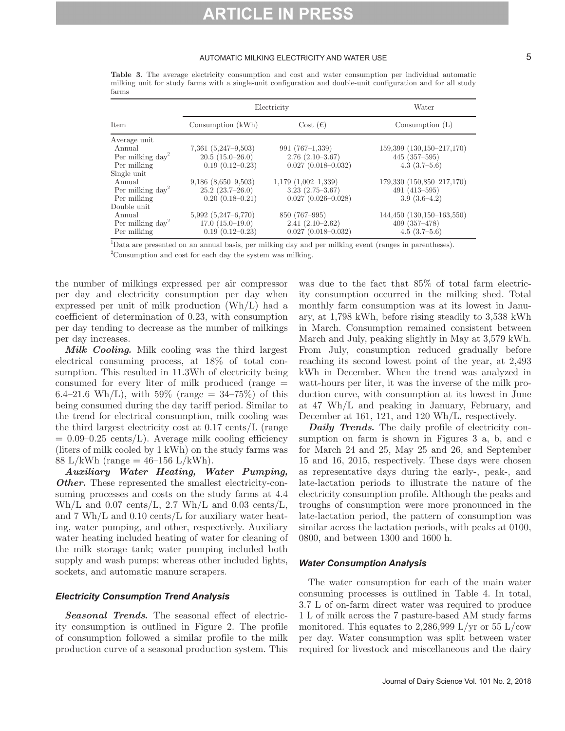### AUTOMATIC MILKING ELECTRICITY AND WATER USE **5** 5

|                              | Electricity             | Water                   |                               |  |
|------------------------------|-------------------------|-------------------------|-------------------------------|--|
| Item                         | Consumption (kWh)       | Cost $(\epsilon)$       | Consumption $(L)$             |  |
| Average unit                 |                         |                         |                               |  |
| Annual                       | $7,361$ $(5,247-9,503)$ | $991(767-1,339)$        | $159,399$ $(130,150-217,170)$ |  |
| Per milking day <sup>2</sup> | $20.5(15.0-26.0)$       | $2.76(2.10-3.67)$       | $445 \ (357 - 595)$           |  |
| Per milking                  | $0.19(0.12 - 0.23)$     | $0.027(0.018 - 0.032)$  | $4.3(3.7-5.6)$                |  |
| Single unit                  |                         |                         |                               |  |
| Annual                       | $9,186$ $(8,650-9,503)$ | $1,179$ $(1,002-1,339)$ | 179,330 (150,850-217,170)     |  |
| Per milking $day^2$          | $25.2(23.7-26.0)$       | $3.23(2.75-3.67)$       | $491(413-595)$                |  |
| Per milking                  | $0.20(0.18-0.21)$       | $0.027(0.026 - 0.028)$  | $3.9(3.6-4.2)$                |  |
| Double unit                  |                         |                         |                               |  |
| Annual                       | $5,992$ $(5,247-6,770)$ | 850 (767-995)           | $144,450$ $(130,150-163,550)$ |  |
| Per milking $day^2$          | $17.0(15.0-19.0)$       | $2.41(2.10-2.62)$       | $409(357-478)$                |  |

**Table 3**. The average electricity consumption and cost and water consumption per individual automatic milking unit for study farms with a single-unit configuration and double-unit configuration and for all study farms

Per milking 0.19 (0.12–0.23) 0.027 (0.018–0.032) 4.5 (3.7–5.6) 1 Data are presented on an annual basis, per milking day and per milking event (ranges in parentheses).

2 Consumption and cost for each day the system was milking.

the number of milkings expressed per air compressor per day and electricity consumption per day when expressed per unit of milk production (Wh/L) had a coefficient of determination of 0.23, with consumption per day tending to decrease as the number of milkings per day increases.

*Milk Cooling.* Milk cooling was the third largest electrical consuming process, at 18% of total consumption. This resulted in 11.3Wh of electricity being consumed for every liter of milk produced (range = 6.4–21.6 Wh/L), with 59% (range =  $34-75%$ ) of this being consumed during the day tariff period. Similar to the trend for electrical consumption, milk cooling was the third largest electricity cost at 0.17 cents/L (range  $= 0.09 - 0.25$  cents/L). Average milk cooling efficiency (liters of milk cooled by 1 kWh) on the study farms was 88 L/kWh (range =  $46-156$  L/kWh).

*Auxiliary Water Heating, Water Pumping, Other.* These represented the smallest electricity-consuming processes and costs on the study farms at 4.4 Wh/L and  $0.07 \text{ cents/L}$ ,  $2.7 \text{ Wh/L}$  and  $0.03 \text{ cents/L}$ , and 7 Wh/L and 0.10 cents/L for auxiliary water heating, water pumping, and other, respectively. Auxiliary water heating included heating of water for cleaning of the milk storage tank; water pumping included both supply and wash pumps; whereas other included lights, sockets, and automatic manure scrapers.

### *Electricity Consumption Trend Analysis*

*Seasonal Trends.* The seasonal effect of electricity consumption is outlined in Figure 2. The profile of consumption followed a similar profile to the milk production curve of a seasonal production system. This was due to the fact that 85% of total farm electricity consumption occurred in the milking shed. Total monthly farm consumption was at its lowest in January, at 1,798 kWh, before rising steadily to 3,538 kWh in March. Consumption remained consistent between March and July, peaking slightly in May at 3,579 kWh. From July, consumption reduced gradually before reaching its second lowest point of the year, at 2,493 kWh in December. When the trend was analyzed in watt-hours per liter, it was the inverse of the milk production curve, with consumption at its lowest in June at 47 Wh/L and peaking in January, February, and December at 161, 121, and 120 Wh/L, respectively.

*Daily Trends.* The daily profile of electricity consumption on farm is shown in Figures 3 a, b, and c for March 24 and 25, May 25 and 26, and September 15 and 16, 2015, respectively. These days were chosen as representative days during the early-, peak-, and late-lactation periods to illustrate the nature of the electricity consumption profile. Although the peaks and troughs of consumption were more pronounced in the late-lactation period, the pattern of consumption was similar across the lactation periods, with peaks at 0100, 0800, and between 1300 and 1600 h.

# *Water Consumption Analysis*

The water consumption for each of the main water consuming processes is outlined in Table 4. In total, 3.7 L of on-farm direct water was required to produce 1 L of milk across the 7 pasture-based AM study farms monitored. This equates to 2,286,999 L/yr or 55 L/cow per day. Water consumption was split between water required for livestock and miscellaneous and the dairy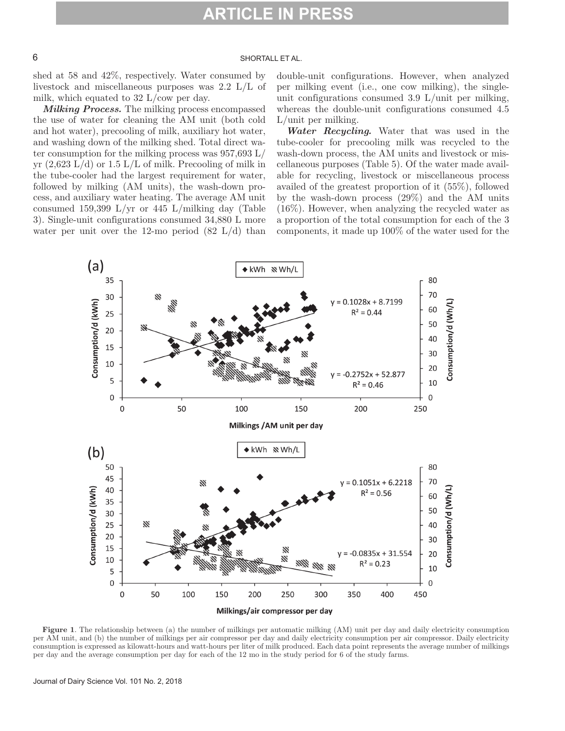# 6 SHORTALL ET AL.

shed at 58 and 42%, respectively. Water consumed by livestock and miscellaneous purposes was 2.2 L/L of milk, which equated to 32 L/cow per day.

*Milking Process.* The milking process encompassed the use of water for cleaning the AM unit (both cold and hot water), precooling of milk, auxiliary hot water, and washing down of the milking shed. Total direct water consumption for the milking process was  $957,693 \text{ L}$ yr  $(2,623 \text{ L/d})$  or  $1.5 \text{ L/L}$  of milk. Precooling of milk in the tube-cooler had the largest requirement for water, followed by milking (AM units), the wash-down process, and auxiliary water heating. The average AM unit consumed 159,399 L/yr or 445 L/milking day (Table 3). Single-unit configurations consumed 34,880 L more water per unit over the 12-mo period  $(82 \text{ L/d})$  than double-unit configurations. However, when analyzed per milking event (i.e., one cow milking), the singleunit configurations consumed 3.9 L/unit per milking, whereas the double-unit configurations consumed 4.5 L/unit per milking.

*Water Recycling.* Water that was used in the tube-cooler for precooling milk was recycled to the wash-down process, the AM units and livestock or miscellaneous purposes (Table 5). Of the water made available for recycling, livestock or miscellaneous process availed of the greatest proportion of it (55%), followed by the wash-down process (29%) and the AM units (16%). However, when analyzing the recycled water as a proportion of the total consumption for each of the 3 components, it made up 100% of the water used for the



**Figure 1**. The relationship between (a) the number of milkings per automatic milking (AM) unit per day and daily electricity consumption per AM unit, and (b) the number of milkings per air compressor per day and daily electricity consumption per air compressor. Daily electricity consumption is expressed as kilowatt-hours and watt-hours per liter of milk produced. Each data point represents the average number of milkings per day and the average consumption per day for each of the 12 mo in the study period for 6 of the study farms.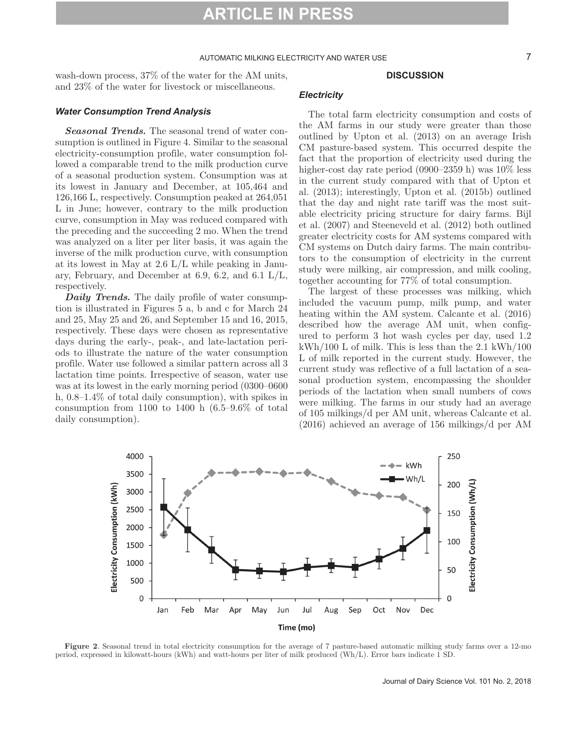### AUTOMATIC MILKING ELECTRICITY AND WATER USE **7** 7

wash-down process, 37% of the water for the AM units, and 23% of the water for livestock or miscellaneous.

### *Water Consumption Trend Analysis*

*Seasonal Trends.* The seasonal trend of water consumption is outlined in Figure 4. Similar to the seasonal electricity-consumption profile, water consumption followed a comparable trend to the milk production curve of a seasonal production system. Consumption was at its lowest in January and December, at 105,464 and 126,166 L, respectively. Consumption peaked at 264,051 L in June; however, contrary to the milk production curve, consumption in May was reduced compared with the preceding and the succeeding 2 mo. When the trend was analyzed on a liter per liter basis, it was again the inverse of the milk production curve, with consumption at its lowest in May at 2.6 L/L while peaking in January, February, and December at 6.9, 6.2, and 6.1  $L/L$ , respectively.

*Daily Trends.* The daily profile of water consumption is illustrated in Figures 5 a, b and c for March 24 and 25, May 25 and 26, and September 15 and 16, 2015, respectively. These days were chosen as representative days during the early-, peak-, and late-lactation periods to illustrate the nature of the water consumption profile. Water use followed a similar pattern across all 3 lactation time points. Irrespective of season, water use was at its lowest in the early morning period (0300–0600 h, 0.8–1.4% of total daily consumption), with spikes in consumption from 1100 to 1400 h  $(6.5-9.6\%$  of total daily consumption).

### *Electricity*

The total farm electricity consumption and costs of the AM farms in our study were greater than those outlined by Upton et al. (2013) on an average Irish CM pasture-based system. This occurred despite the fact that the proportion of electricity used during the higher-cost day rate period (0900–2359 h) was  $10\%$  less in the current study compared with that of Upton et al. (2013); interestingly, Upton et al. (2015b) outlined that the day and night rate tariff was the most suitable electricity pricing structure for dairy farms. Bijl et al. (2007) and Steeneveld et al. (2012) both outlined greater electricity costs for AM systems compared with CM systems on Dutch dairy farms. The main contributors to the consumption of electricity in the current study were milking, air compression, and milk cooling, together accounting for 77% of total consumption.

**DISCUSSION**

The largest of these processes was milking, which included the vacuum pump, milk pump, and water heating within the AM system. Calcante et al. (2016) described how the average AM unit, when configured to perform 3 hot wash cycles per day, used 1.2 kWh/100 L of milk. This is less than the 2.1 kWh/100 L of milk reported in the current study. However, the current study was reflective of a full lactation of a seasonal production system, encompassing the shoulder periods of the lactation when small numbers of cows were milking. The farms in our study had an average of 105 milkings/d per AM unit, whereas Calcante et al. (2016) achieved an average of 156 milkings/d per AM



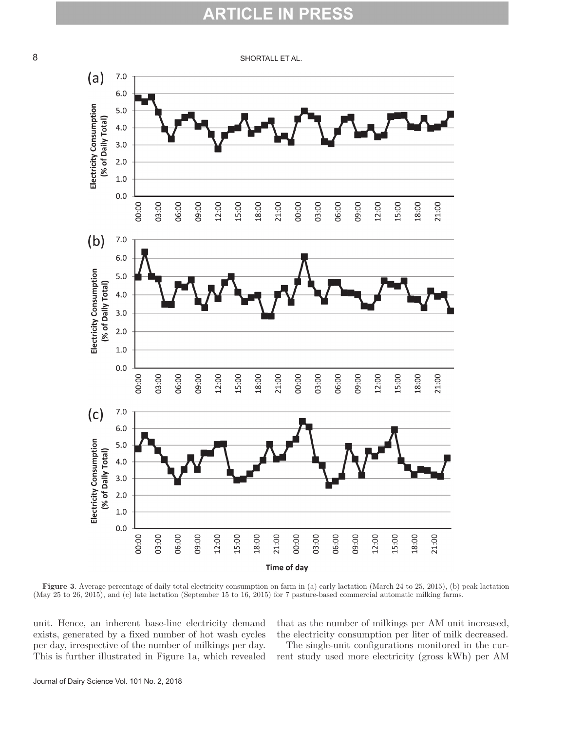#### P RTICL

8 SHORTALL ET AL.



**Figure 3**. Average percentage of daily total electricity consumption on farm in (a) early lactation (March 24 to 25, 2015), (b) peak lactation (May 25 to 26, 2015), and (c) late lactation (September 15 to 16, 2015) for 7 pasture-based commercial automatic milking farms.

unit. Hence, an inherent base-line electricity demand exists, generated by a fixed number of hot wash cycles per day, irrespective of the number of milkings per day. This is further illustrated in Figure 1a, which revealed that as the number of milkings per AM unit increased, the electricity consumption per liter of milk decreased.

The single-unit configurations monitored in the current study used more electricity (gross kWh) per AM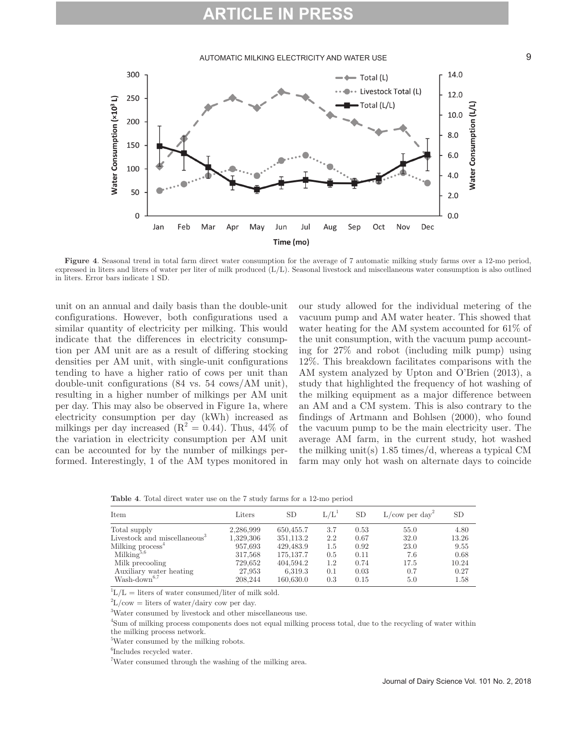# **ARTICLE IN**

### AUTOMATIC MILKING ELECTRICITY AND WATER USE 9



**Figure 4**. Seasonal trend in total farm direct water consumption for the average of 7 automatic milking study farms over a 12-mo period, expressed in liters and liters of water per liter of milk produced (L/L). Seasonal livestock and miscellaneous water consumption is also outlined in liters. Error bars indicate 1 SD.

unit on an annual and daily basis than the double-unit configurations. However, both configurations used a similar quantity of electricity per milking. This would indicate that the differences in electricity consumption per AM unit are as a result of differing stocking densities per AM unit, with single-unit configurations tending to have a higher ratio of cows per unit than double-unit configurations (84 vs. 54 cows/AM unit), resulting in a higher number of milkings per AM unit per day. This may also be observed in Figure 1a, where electricity consumption per day (kWh) increased as milkings per day increased  $(R^2 = 0.44)$ . Thus, 44% of the variation in electricity consumption per AM unit can be accounted for by the number of milkings performed. Interestingly, 1 of the AM types monitored in

our study allowed for the individual metering of the vacuum pump and AM water heater. This showed that water heating for the AM system accounted for 61% of the unit consumption, with the vacuum pump accounting for 27% and robot (including milk pump) using 12%. This breakdown facilitates comparisons with the AM system analyzed by Upton and O'Brien (2013), a study that highlighted the frequency of hot washing of the milking equipment as a major difference between an AM and a CM system. This is also contrary to the findings of Artmann and Bohlsen (2000), who found the vacuum pump to be the main electricity user. The average AM farm, in the current study, hot washed the milking unit(s) 1.85 times/d, whereas a typical CM farm may only hot wash on alternate days to coincide

**Table 4**. Total direct water use on the 7 study farms for a 12-mo period

| Item                            | Liters    | <b>SD</b>  | L/L <sup>1</sup> | <b>SD</b> | $L/cow$ per day <sup>2</sup> | SD    |
|---------------------------------|-----------|------------|------------------|-----------|------------------------------|-------|
| Total supply                    | 2,286,999 | 650,455.7  | 3.7              | 0.53      | 55.0                         | 4.80  |
| Livestock and miscellaneous $3$ | 1,329,306 | 351,113.2  | 2.2              | 0.67      | 32.0                         | 13.26 |
| Milking process <sup>4</sup>    | 957,693   | 429,483.9  | 1.5              | 0.92      | 23.0                         | 9.55  |
| $\text{Milking}^{5,6}$          | 317,568   | 175, 137.7 | 0.5              | 0.11      | 7.6                          | 0.68  |
| Milk precooling                 | 729,652   | 404,594.2  | 1.2              | 0.74      | 17.5                         | 10.24 |
| Auxiliary water heating         | 27,953    | 6,319.3    | 0.1              | 0.03      | 0.7                          | 0.27  |
| $Wash-down^{6,7}$               | 208,244   | 160,630.0  | 0.3              | 0.15      | 5.0                          | 1.58  |

 ${}^{1}L/L$  = liters of water consumed/liter of milk sold.

 ${}^{2}L/cow =$  liters of water/dairy cow per day.

3 Water consumed by livestock and other miscellaneous use.

4 Sum of milking process components does not equal milking process total, due to the recycling of water within the milking process network.

5 Water consumed by the milking robots.

6 Includes recycled water.

<sup>7</sup>Water consumed through the washing of the milking area.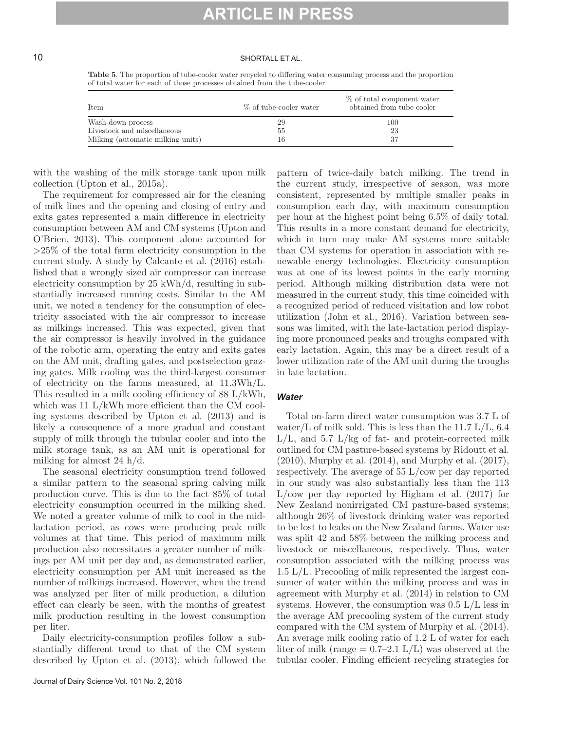### 10 SHORTALL ET AL.

**Table 5**. The proportion of tube-cooler water recycled to differing water consuming process and the proportion of total water for each of those processes obtained from the tube-cooler

| Item                              | % of tube-cooler water | % of total component water<br>obtained from tube-cooler |
|-----------------------------------|------------------------|---------------------------------------------------------|
| Wash-down process                 | 29                     | 100                                                     |
| Livestock and miscellaneous       | 55                     | 23                                                      |
| Milking (automatic milking units) | 16                     | 37                                                      |

with the washing of the milk storage tank upon milk collection (Upton et al., 2015a).

The requirement for compressed air for the cleaning of milk lines and the opening and closing of entry and exits gates represented a main difference in electricity consumption between AM and CM systems (Upton and O'Brien, 2013). This component alone accounted for >25% of the total farm electricity consumption in the current study. A study by Calcante et al. (2016) established that a wrongly sized air compressor can increase electricity consumption by 25 kWh/d, resulting in substantially increased running costs. Similar to the AM unit, we noted a tendency for the consumption of electricity associated with the air compressor to increase as milkings increased. This was expected, given that the air compressor is heavily involved in the guidance of the robotic arm, operating the entry and exits gates on the AM unit, drafting gates, and postselection grazing gates. Milk cooling was the third-largest consumer of electricity on the farms measured, at 11.3Wh/L. This resulted in a milk cooling efficiency of 88 L/kWh, which was 11 L/kWh more efficient than the CM cooling systems described by Upton et al. (2013) and is likely a consequence of a more gradual and constant supply of milk through the tubular cooler and into the milk storage tank, as an AM unit is operational for milking for almost 24 h/d.

The seasonal electricity consumption trend followed a similar pattern to the seasonal spring calving milk production curve. This is due to the fact 85% of total electricity consumption occurred in the milking shed. We noted a greater volume of milk to cool in the midlactation period, as cows were producing peak milk volumes at that time. This period of maximum milk production also necessitates a greater number of milkings per AM unit per day and, as demonstrated earlier, electricity consumption per AM unit increased as the number of milkings increased. However, when the trend was analyzed per liter of milk production, a dilution effect can clearly be seen, with the months of greatest milk production resulting in the lowest consumption per liter.

Daily electricity-consumption profiles follow a substantially different trend to that of the CM system described by Upton et al. (2013), which followed the pattern of twice-daily batch milking. The trend in the current study, irrespective of season, was more consistent, represented by multiple smaller peaks in consumption each day, with maximum consumption per hour at the highest point being 6.5% of daily total. This results in a more constant demand for electricity, which in turn may make AM systems more suitable than CM systems for operation in association with renewable energy technologies. Electricity consumption was at one of its lowest points in the early morning period. Although milking distribution data were not measured in the current study, this time coincided with a recognized period of reduced visitation and low robot utilization (John et al., 2016). Variation between seasons was limited, with the late-lactation period displaying more pronounced peaks and troughs compared with early lactation. Again, this may be a direct result of a lower utilization rate of the AM unit during the troughs in late lactation.

#### *Water*

Total on-farm direct water consumption was 3.7 L of water/L of milk sold. This is less than the  $11.7$  L/L, 6.4  $L/L$ , and 5.7  $L/kg$  of fat- and protein-corrected milk outlined for CM pasture-based systems by Ridoutt et al. (2010), Murphy et al. (2014), and Murphy et al. (2017), respectively. The average of 55 L/cow per day reported in our study was also substantially less than the 113 L/cow per day reported by Higham et al. (2017) for New Zealand nonirrigated CM pasture-based systems; although 26% of livestock drinking water was reported to be lost to leaks on the New Zealand farms. Water use was split 42 and 58% between the milking process and livestock or miscellaneous, respectively. Thus, water consumption associated with the milking process was 1.5 L/L. Precooling of milk represented the largest consumer of water within the milking process and was in agreement with Murphy et al. (2014) in relation to CM systems. However, the consumption was  $0.5 \mathrm{L/L}$  less in the average AM precooling system of the current study compared with the CM system of Murphy et al. (2014). An average milk cooling ratio of 1.2 L of water for each liter of milk (range  $= 0.7{\text -}2.1 \text{ L/L}$ ) was observed at the tubular cooler. Finding efficient recycling strategies for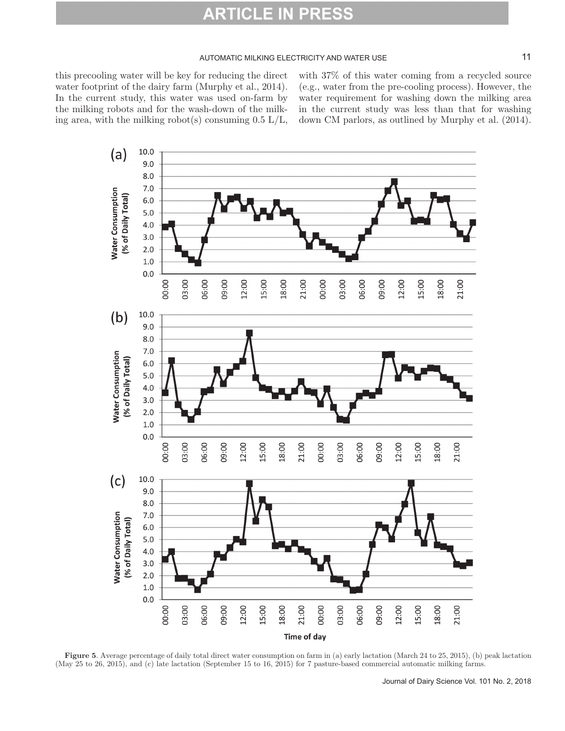### AUTOMATIC MILKING ELECTRICITY AND WATER USE 11

this precooling water will be key for reducing the direct water footprint of the dairy farm (Murphy et al., 2014). In the current study, this water was used on-farm by the milking robots and for the wash-down of the milking area, with the milking robot(s) consuming  $0.5 \text{ L/L}$ , with 37% of this water coming from a recycled source (e.g., water from the pre-cooling process). However, the water requirement for washing down the milking area in the current study was less than that for washing down CM parlors, as outlined by Murphy et al. (2014).



**Figure 5**. Average percentage of daily total direct water consumption on farm in (a) early lactation (March 24 to 25, 2015), (b) peak lactation (May 25 to 26, 2015), and (c) late lactation (September 15 to 16, 2015) for 7 pasture-based commercial automatic milking farms.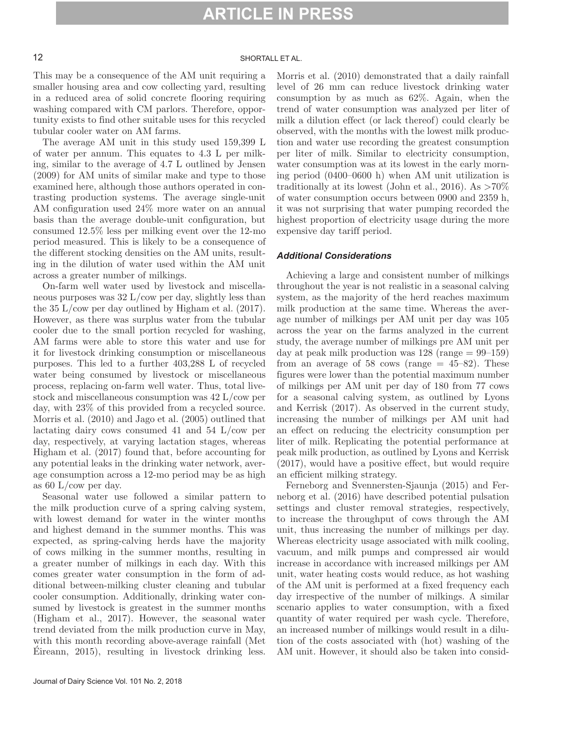# 12 SHORTALL ET AL.

This may be a consequence of the AM unit requiring a smaller housing area and cow collecting yard, resulting in a reduced area of solid concrete flooring requiring washing compared with CM parlors. Therefore, opportunity exists to find other suitable uses for this recycled tubular cooler water on AM farms.

The average AM unit in this study used 159,399 L of water per annum. This equates to 4.3 L per milking, similar to the average of 4.7 L outlined by Jensen (2009) for AM units of similar make and type to those examined here, although those authors operated in contrasting production systems. The average single-unit AM configuration used 24% more water on an annual basis than the average double-unit configuration, but consumed 12.5% less per milking event over the 12-mo period measured. This is likely to be a consequence of the different stocking densities on the AM units, resulting in the dilution of water used within the AM unit across a greater number of milkings.

On-farm well water used by livestock and miscellaneous purposes was 32 L/cow per day, slightly less than the 35 L/cow per day outlined by Higham et al. (2017). However, as there was surplus water from the tubular cooler due to the small portion recycled for washing, AM farms were able to store this water and use for it for livestock drinking consumption or miscellaneous purposes. This led to a further 403,288 L of recycled water being consumed by livestock or miscellaneous process, replacing on-farm well water. Thus, total livestock and miscellaneous consumption was 42 L/cow per day, with 23% of this provided from a recycled source. Morris et al. (2010) and Jago et al. (2005) outlined that lactating dairy cows consumed 41 and 54 L/cow per day, respectively, at varying lactation stages, whereas Higham et al. (2017) found that, before accounting for any potential leaks in the drinking water network, average consumption across a 12-mo period may be as high as 60 L/cow per day.

Seasonal water use followed a similar pattern to the milk production curve of a spring calving system, with lowest demand for water in the winter months and highest demand in the summer months. This was expected, as spring-calving herds have the majority of cows milking in the summer months, resulting in a greater number of milkings in each day. With this comes greater water consumption in the form of additional between-milking cluster cleaning and tubular cooler consumption. Additionally, drinking water consumed by livestock is greatest in the summer months (Higham et al., 2017). However, the seasonal water trend deviated from the milk production curve in May, with this month recording above-average rainfall (Met Éireann, 2015), resulting in livestock drinking less.

Morris et al. (2010) demonstrated that a daily rainfall level of 26 mm can reduce livestock drinking water consumption by as much as 62%. Again, when the trend of water consumption was analyzed per liter of milk a dilution effect (or lack thereof) could clearly be observed, with the months with the lowest milk production and water use recording the greatest consumption per liter of milk. Similar to electricity consumption, water consumption was at its lowest in the early morning period (0400–0600 h) when AM unit utilization is traditionally at its lowest (John et al., 2016). As  $>70\%$ of water consumption occurs between 0900 and 2359 h, it was not surprising that water pumping recorded the highest proportion of electricity usage during the more expensive day tariff period.

### *Additional Considerations*

Achieving a large and consistent number of milkings throughout the year is not realistic in a seasonal calving system, as the majority of the herd reaches maximum milk production at the same time. Whereas the average number of milkings per AM unit per day was 105 across the year on the farms analyzed in the current study, the average number of milkings pre AM unit per day at peak milk production was  $128$  (range  $= 99-159$ ) from an average of 58 cows (range  $= 45-82$ ). These figures were lower than the potential maximum number of milkings per AM unit per day of 180 from 77 cows for a seasonal calving system, as outlined by Lyons and Kerrisk (2017). As observed in the current study, increasing the number of milkings per AM unit had an effect on reducing the electricity consumption per liter of milk. Replicating the potential performance at peak milk production, as outlined by Lyons and Kerrisk (2017), would have a positive effect, but would require an efficient milking strategy.

Ferneborg and Svennersten-Sjaunja (2015) and Ferneborg et al. (2016) have described potential pulsation settings and cluster removal strategies, respectively, to increase the throughput of cows through the AM unit, thus increasing the number of milkings per day. Whereas electricity usage associated with milk cooling, vacuum, and milk pumps and compressed air would increase in accordance with increased milkings per AM unit, water heating costs would reduce, as hot washing of the AM unit is performed at a fixed frequency each day irrespective of the number of milkings. A similar scenario applies to water consumption, with a fixed quantity of water required per wash cycle. Therefore, an increased number of milkings would result in a dilution of the costs associated with (hot) washing of the AM unit. However, it should also be taken into consid-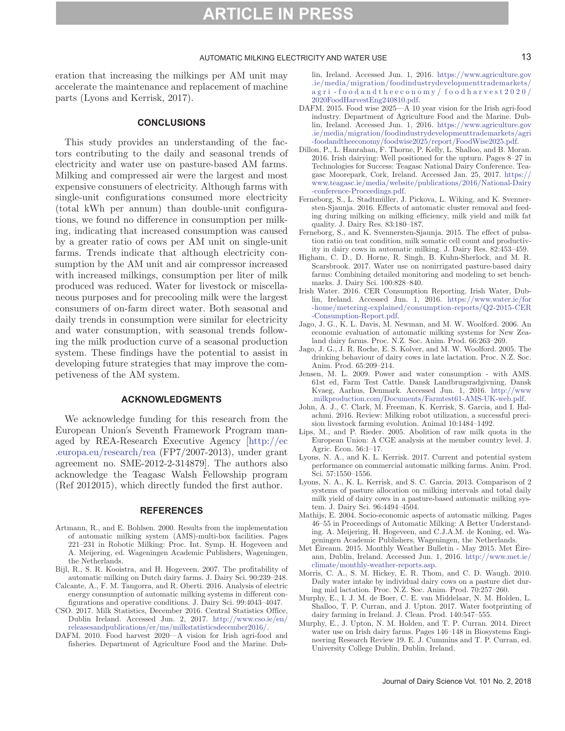#### AUTOMATIC MILKING ELECTRICITY AND WATER USE 13 13

eration that increasing the milkings per AM unit may accelerate the maintenance and replacement of machine parts (Lyons and Kerrisk, 2017).

### **CONCLUSIONS**

This study provides an understanding of the factors contributing to the daily and seasonal trends of electricity and water use on pasture-based AM farms. Milking and compressed air were the largest and most expensive consumers of electricity. Although farms with single-unit configurations consumed more electricity (total kWh per annum) than double-unit configurations, we found no difference in consumption per milking, indicating that increased consumption was caused by a greater ratio of cows per AM unit on single-unit farms. Trends indicate that although electricity consumption by the AM unit and air compressor increased with increased milkings, consumption per liter of milk produced was reduced. Water for livestock or miscellaneous purposes and for precooling milk were the largest consumers of on-farm direct water. Both seasonal and daily trends in consumption were similar for electricity and water consumption, with seasonal trends following the milk production curve of a seasonal production system. These findings have the potential to assist in developing future strategies that may improve the competiveness of the AM system.

#### **ACKNOWLEDGMENTS**

We acknowledge funding for this research from the European Union's Seventh Framework Program managed by REA-Research Executive Agency [[http://ec](http://ec.europa.eu/research/rea) [.europa.eu/research/rea](http://ec.europa.eu/research/rea) (FP7/2007-2013), under grant agreement no. SME-2012-2-314879]. The authors also acknowledge the Teagasc Walsh Fellowship program (Ref 2012015), which directly funded the first author.

#### **REFERENCES**

- Artmann, R., and E. Bohlsen. 2000. Results from the implementation of automatic milking system (AMS)-multi-box facilities. Pages 221–231 in Robotic Milking: Proc. Int. Symp. H. Hogeveen and A. Meijering, ed. Wageningen Academic Publishers, Wageningen, the Netherlands.
- Bijl, R., S. R. Kooistra, and H. Hogeveen. 2007. The profitability of automatic milking on Dutch dairy farms. J. Dairy Sci. 90:239–248.
- Calcante, A., F. M. Tangorra, and R. Oberti. 2016. Analysis of electric energy consumption of automatic milking systems in different configurations and operative conditions. J. Dairy Sci. 99:4043–4047.
- CSO. 2017. Milk Statistics, December 2016. Central Statistics Office, Dublin Ireland. Accessed Jun. 2, 2017. [http://www.cso.ie/en/](http://www.cso.ie/en/releasesandpublications/er/ms/milkstatisticsdecember2016/) [releasesandpublications/er/ms/milkstatisticsdecember2016/](http://www.cso.ie/en/releasesandpublications/er/ms/milkstatisticsdecember2016/).
- DAFM. 2010. Food harvest 2020—A vision for Irish agri-food and fisheries. Department of Agriculture Food and the Marine. Dub-

lin, Ireland. Accessed Jun. 1, 2016. [https://www.agriculture.gov](https://www.agriculture.gov.ie/media/migration/foodindustrydevelopmenttrademarkets/agri-foodandtheeconomy/foodharvest2020/2020FoodHarvestEng240810.pdf) [.ie/media/migration/foodindustrydevelopmenttrademarkets/](https://www.agriculture.gov.ie/media/migration/foodindustrydevelopmenttrademarkets/agri-foodandtheeconomy/foodharvest2020/2020FoodHarvestEng240810.pdf) agri [-foodandtheeconomy/](https://www.agriculture.gov.ie/media/migration/foodindustrydevelopmenttrademarkets/agri-foodandtheeconomy/foodharvest2020/2020FoodHarvestEng240810.pdf) foodharvest2020/ [2020FoodHarvestEng240810.pdf](https://www.agriculture.gov.ie/media/migration/foodindustrydevelopmenttrademarkets/agri-foodandtheeconomy/foodharvest2020/2020FoodHarvestEng240810.pdf).

- DAFM. 2015. Food wise 2025—A 10 year vision for the Irish agri-food industry. Department of Agriculture Food and the Marine. Dublin, Ireland. Accessed Jun. 1, 2016. [https://www.agriculture.gov](https://www.agriculture.gov.ie/media/migration/foodindustrydevelopmenttrademarkets/agri-foodandtheeconomy/foodwise2025/report/FoodWise2025.pdf) [.ie/media/migration/foodindustrydevelopmenttrademarkets/agri](https://www.agriculture.gov.ie/media/migration/foodindustrydevelopmenttrademarkets/agri-foodandtheeconomy/foodwise2025/report/FoodWise2025.pdf) [-foodandtheeconomy/foodwise2025/report/FoodWise2025.pdf](https://www.agriculture.gov.ie/media/migration/foodindustrydevelopmenttrademarkets/agri-foodandtheeconomy/foodwise2025/report/FoodWise2025.pdf).
- Dillon, P., L. Hanrahan, F. Thorne, P. Kelly, L. Shalloo, and B. Moran. 2016. Irish dairying: Well positioned for the upturn. Pages 8–27 in Technologies for Success: Teagasc National Dairy Conference. Teagasc Moorepark, Cork, Ireland. Accessed Jan. 25, 2017. [https://](https://www.teagasc.ie/media/website/publications/2016/National-Dairy-conference-Proceedings.pdf) [www.teagasc.ie/media/website/publications/2016/National-Dairy](https://www.teagasc.ie/media/website/publications/2016/National-Dairy-conference-Proceedings.pdf) [-conference-Proceedings.pdf.](https://www.teagasc.ie/media/website/publications/2016/National-Dairy-conference-Proceedings.pdf)
- Ferneborg, S., L. Stadtmüller, J. Pickova, L. Wiking, and K. Svennersten-Sjaunja. 2016. Effects of automatic cluster removal and feeding during milking on milking efficiency, milk yield and milk fat quality. J. Dairy Res. 83:180–187.
- Ferneborg, S., and K. Svennersten-Sjaunja. 2015. The effect of pulsation ratio on teat condition, milk somatic cell count and productivity in dairy cows in automatic milking. J. Dairy Res. 82:453–459.
- Higham, C. D., D. Horne, R. Singh, B. Kuhn-Sherlock, and M. R. Scarsbrook. 2017. Water use on nonirrigated pasture-based dairy farms: Combining detailed monitoring and modeling to set benchmarks. J. Dairy Sci. 100:828–840.
- Irish Water. 2016. CER Consumption Reporting. Irish Water, Dublin, Ireland. Accessed Jun. 1, 2016. [https://www.water.ie/for](https://www.water.ie/for-home/metering-explained/consumption-reports/Q2-2015-CER-Consumption-Report.pdf) [-home/metering-explained/consumption-reports/Q2-2015-CER](https://www.water.ie/for-home/metering-explained/consumption-reports/Q2-2015-CER-Consumption-Report.pdf) [-Consumption-Report.pdf.](https://www.water.ie/for-home/metering-explained/consumption-reports/Q2-2015-CER-Consumption-Report.pdf)
- Jago, J. G., K. L. Davis, M. Newman, and M. W. Woolford. 2006. An economic evaluation of automatic milking systems for New Zealand dairy farms. Proc. N.Z. Soc. Anim. Prod. 66:263–269.
- Jago, J. G., J. R. Roche, E. S. Kolver, and M. W. Woolford. 2005. The drinking behaviour of dairy cows in late lactation. Proc. N.Z. Soc. Anim. Prod. 65:209–214.
- Jensen, M. L. 2009. Power and water consumption with AMS. 61st ed, Farm Test Cattle. Dansk Landbrugsradgivning, Dansk Kvaeg, Aarhus, Denmark. Accessed Jun. 1, 2016. [http://www](http://www.milkproduction.com/Documents/Farmtest61-AMS-UK-web.pdf) [.milkproduction.com/Documents/Farmtest61-AMS-UK-web.pdf](http://www.milkproduction.com/Documents/Farmtest61-AMS-UK-web.pdf).
- John, A. J., C. Clark, M. Freeman, K. Kerrisk, S. Garcia, and I. Halachmi. 2016. Review: Milking robot utilization, a successful precision livestock farming evolution. Animal 10:1484–1492.
- Lips, M., and P. Rieder. 2005. Abolition of raw milk quota in the European Union: A CGE analysis at the member country level. J. Agric. Econ. 56:1–17.
- Lyons, N. A., and K. L. Kerrisk. 2017. Current and potential system performance on commercial automatic milking farms. Anim. Prod. Sci. 57:1550–1556.
- Lyons, N. A., K. L. Kerrisk, and S. C. Garcia. 2013. Comparison of 2 systems of pasture allocation on milking intervals and total daily milk yield of dairy cows in a pasture-based automatic milking system. J. Dairy Sci. 96:4494–4504.
- Mathijs, E. 2004. Socio-economic aspects of automatic milking. Pages 46–55 in Proceedings of Automatic Milking: A Better Understanding. A. Meijering, H. Hogeveen, and C.J.A.M. de Koning, ed. Wageningen Academic Publishers, Wageningen, the Netherlands.
- Met Éireann. 2015. Monthly Weather Bulletin May 2015. Met Éireann, Dublin, Ireland. Accessed Jun. 1, 2016. [http://www.met.ie/](http://www.met.ie/climate/monthly-weather-reports.asp) [climate/monthly-weather-reports.asp](http://www.met.ie/climate/monthly-weather-reports.asp).
- Morris, C. A., S. M. Hickey, E. R. Thom, and C. D. Waugh. 2010. Daily water intake by individual dairy cows on a pasture diet during mid lactation. Proc. N.Z. Soc. Anim. Prod. 70:257–260.
- Murphy, E., I. J. M. de Boer, C. E. van Middelaar, N. M. Holden, L. Shalloo, T. P. Curran, and J. Upton. 2017. Water footprinting of dairy farming in Ireland. J. Clean. Prod. 140:547–555.
- Murphy, E., J. Upton, N. M. Holden, and T. P. Curran. 2014. Direct water use on Irish dairy farms. Pages 146–148 in Biosystems Engineering Research Review 19. E. J. Cummins and T. P. Curran, ed. University College Dublin, Dublin, Ireland.